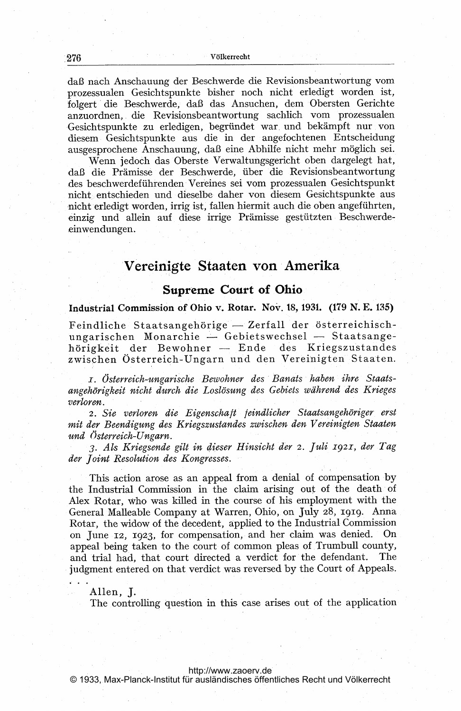daß nach Anschauung der Beschwerde die Revisionsbeantwortung vom prozessualen Gesichtspunkte bisher noch nicht erledigt worden ist, folgert die Beschwerde, daß das Ansuchen, dem Obersten Gerichte anzuordnen, die Revisionsbeantwortung sachlich vom prozessualen Gesichtspunkte zu erledigen, begründet war und bekämpft nur von diesem Gesichtspunkte aus die in der angefochtenen Entscheidung ausgesprochene Anschauung, daß eine Abhilfe nicht mehr möglich sei.

Wenn jedoch das Oberste Verwaltungsgericht oben dargelegt hat, daß die Prämisse der Beschwerde, über die Revisionsbeantwortung des beschwerdeführenden Vereines sei vom prozessualen Gesichtspunkt nicht entschieden und dieselbe daher von diesem Gesichtspunkte aus nicht erledigt worden, irrig ist, fallen hiermit auch die oben angeführten, einzig und allein auf diese irrige Prämisse gestützten Beschwerdeeinwendungen.

## Vereinigte Staaten von Amerika

## Supreme Court of Ohio

Industrial Commission of Ohio v. Rotar. Nov. 18,1931. (179 N. E. 135)

Feindliche Staatsangehörige - Zerfall der österreichischreindliche Staatsangehorige — Zeriall der österreichisch-<br>ungarischen Monarchie — Gebietswechsel — Staatsangeungarischen Monarchie — Gebietswechsel — Staatsange-<br>hörigkeit der Bewohner — Ende des Kriegszustandes zwischen Osterreich-Ungarn und den Vereinigten Staaten.

i. Österreich-ungarische Bewohner des Banats haben ihre Staatsangehörigkeit nicht durch die Loslösung des Gebiets während des Krieges verloren.

2. Sie verloren die Eigenschaft feindlicher Staatsangehöriger erst mit der Beendigung des Kriegszustandes zwischen den Vereinigten Staaten und Österreich-Ungarn.

3. Als Kriegsende gilt in dieser Hinsicht der 2. jUli 1921, der Tag der Joint Resolution des Kongresses.

This action arose as an appeal from a denial of compensation by the Industrial Commission in the claim arising out of the death of Alex Rotar, Who was killed in the course of his employment with the General Malleable Company at Warren, Ohio, on July 28, 1919. Anna Rotar, the widow of the decedent, applied to the Industrial Commission on June 12, 1923, for compensation, and her claim was denied. On appeal being taken to the court of common pleas of Trumbull county, and trial had, that court directed a verdict for the defendant. The judgment entered on that verdict was reversed by the Court of Appeals.

Allen, J.

The controlling question in this case arises out of the application

## <http://www.zaoerv.de>

© 1933, Max-Planck-Institut für ausländisches öffentliches Recht und Völkerrecht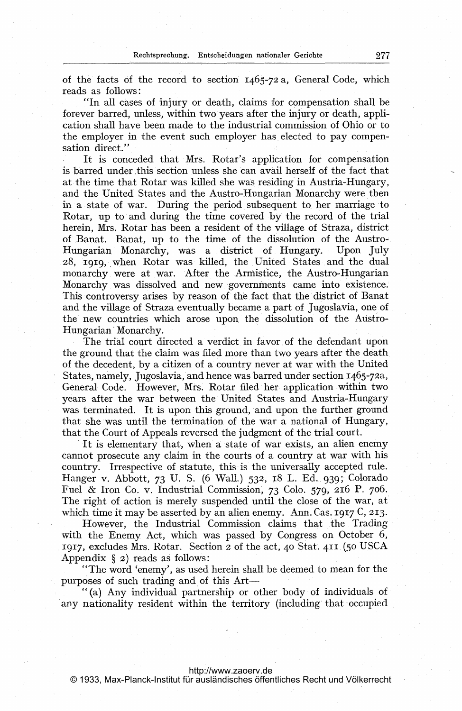of the facts of the record to section 1465-72 a, General Code, which reads as follows:

"In all cases of injury or death, claims for compensation shall be forever barred, unless, within two years after the injury or death, application shall have been made to the industrial commission of Ohio or to the employer in the event such employer has elected to pay compensation direct."

It is conceded that Mrs. Rotar's application for compensation is barred under this section unless she can avail herself of the fact that at the time that Rotar was'killed she was residing in Austria-Hungary, and the United States and the Austro-Hungarian Monarchy were then in a state of war. During the period subsequent to her marriage to Rotar, up to and during the time covered by'the record of the trial herein Mrs. Rotar has been a resident of the village of Straza, district of Banat. Banat, up to the time of the dissolution of the Austro-Hungarian Monarchy, was a district of Hungary. Upon July ,28, igig, when Rotar was killed, the United States and the dual monarchy were at war. After the Armistice, the Austro-Hungarian Monarchy was dissolved and new governments came into existence. This controversy arises by reason of the fact that the'district of Banat and the village of Straza eventually became a part of Jugoslavia, one of the new countries which arose upon the dissolution of the Austro-Hungarian Monarchy.

The trial court directed a verdict in favor of the defendant upon the ground that the claim was filed more than two years after the death of the decedent, by a citizen of a country never at war with the United States, namely, Jugoslavia, and hence was barred under section 1465-72a, General Code. However, Mrs. Rotar filed her application within two years after the war between the United States and Austria-Hungary was terminated. It is upon this ground, and upon the further ground that she was until the termination of the war a national of Hungary, that the Court of Appeals reversed the judgment of the trial court.

It is elementary that, when a state of war exists, an alien enemy cannot prosecute any claim in the courts of a country at war with his country. Irrespective of statute, this is the universally accepted rule. Hanger v. Abbott, 73 U. S. (6 Wall.) 532, 18 L. Ed., 939; Colorado Fuel.& Iron Co. v. Industrial Commission, 73 Colo. 579, 216 P. 7o6. The right of action is merely suspended until the close of the war, at which time it may be asserted by an alien enemy. Ann. Cas. 1917 C, 213.

However, the Industrial Commission claims that the Trading with the Enemy Act, which was passed by Congress on October 6, 1917, excludes Mrs. Rotar. Section <sup>2</sup> of the act, <sup>40</sup> Stat. <sup>411</sup> (50 USCA Appendix  $\S$  2) reads as follows:

"The word 'enemy', as used herein shall be deemed to mean for the purposes of such trading and of this Art—

" (a) Any individual partnership or other body of individuals of any nationality resident within the territory (including that occupied

## <http://www.zaoerv.de>

© 1933, Max-Planck-Institut für ausländisches öffentliches Recht und Völkerrecht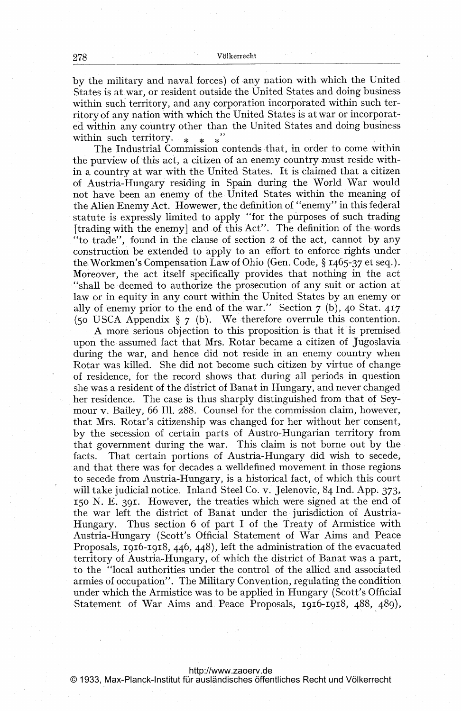by the military and naval forces) of any nation with which the United States is at war, or resident outside the United States and doing business within such territory, and any corporation incorporated within such territory of any nation with which the United States is at war or incorporated within any country other than the United States and doing business within such territory. ú.

The Industrial Commission contends that, in order to come within the purview of this act, a citizen of an enemy country must reside within a country at war with the United States. It is claimed that a citizen of Austria-Hungary residing in Spain during the World War would not have been an enemy of the United States within the meaning of the Alien Enemy Act. Howewer, the definition of "enemy" in this federal statute is expressly limited to apply "for the purposes of such trading [trading with the enemy] and of this Act". The definition of the words "to trade", found in the clause of section <sup>2</sup> of the act, cannot by any construction be extended to apply to an effort to enforce rights under the Workmen's Compensation Law of Ohio (Gen. Code, § 1465-37 et seq.). Moreover, the act itself specifically provides that nothing in the act "shall be deemed to authorize the prosecution of any suit or action at law or in equity in any court within the United States by an enemy or ally of enemy prior to the end of the war." Section  $7$  (b), 40 Stat. 417 (50 USCA Appendix  $\S$  7 (b). We therefore overrule this contention.

A more serious objection to this proposition is that it is premised upon the assumed fact that Mrs. Rotar became <sup>a</sup> citizen of Jugoslavia during the war, and hence did not reside in an enemy country when Rotar was killed. She did not become such citizen by virtue of change of residence, for the record shows that during all periods in question she was a resident of the district of Banat in Hungary, and never changed her residence. The case is thus sharply distinguished from that of Sey-. mour v. Bailey, 66 Ill. 288. Counsel for the commission claim, however, that Mrs. Rotar's citizenship was changed for her without her- consent, by the secession of certain parts of Austro-Hungarian territory from that government during the war. This claim is not borne out by the facts. That certain portions of Austria-Hungary did wish to secede, and that there was for decades a welldefined movement in those regions to secede from Austria-Hungary, is a historical fact, of which this court will take judicial notice. Inland Steel Co. v. Jelenovic, 84 Ind. App. 373, i5o N. E. 391. However, the treaties which were signed at the end of the war left the district of Banat under the jurisdiction of Austria-Hungary. Thus section <sup>6</sup> of part <sup>I</sup> of the Treaty of Armistice with Austria-Hungary (Scott's Official Statement of War Aims and Peace Proposals, 1916-1918, 446, 448), left the administration of the evacuated territory of Austria-Hungary, of which the district of Banat was a part, to the "local authorities under the control of the allied and associated armies of occupation". The Military Convention, regulating the condition under which the Armistice was to be applied in Hungary (Scott's Official Statement of War Aims and Peace Proposals, 1916-1918, 488, 489),

<http://www.zaoerv.de> © 1933, Max-Planck-Institut für ausländisches öffentliches Recht und Völkerrecht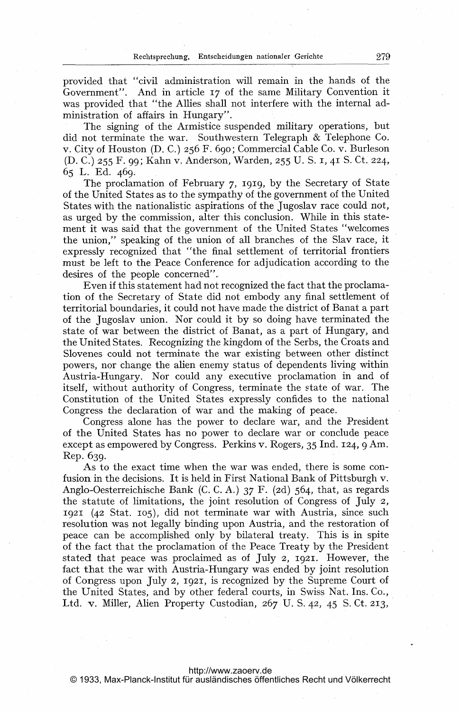provided that "civil administration will remain in the hands of the Government". And in article <sup>17</sup> of the same Military Convention it was provided that "the Allies shall not interfere with the internal administration of affairs in Hungary".

The signing of the Armistice suspended military operations, but did not terminate the war. Southwestern Telegraph,& Telephone Co. v. City of Houston (D. C.) 256 F. 69o; Commercial Cable Co. v. Burleson (D. C.) <sup>255</sup> F. 99; Kahn v. Anderson, Warden, <sup>255</sup> U. S. 1, <sup>41</sup> S. Ct. 224, 65 L. Ed. 469.

The proclamation of February 7, 1919, by the Secretary of State of the United States as to the sympathy of the government of the United, States with the nationalistic aspirations of the Jugoslav race could not, as urged by the commission, alter this conclusion. While in this statement it was said that the government of the United States "welcomes the union," speaking of the union of all branches of the Slav race, it expressly recognized that "the final settlement of territorial frontiers must be left to the Peace Conference for adjudication according to the desires of the people concerned".

Even if this statement had not recognized the fact that the proclamation of the Secretary of State did not embody any final settlement of territorial boundaries, it could not have made the district of Banat <sup>a</sup> part of the Jugoslav union. Nor could it by so doing have terminated the state of war between the district of Banat, as a part of Hungary, and the United States. Recognizing the kingdom of the Serbs, the Croats and Slovenes could not terminate the war existing between other distinct powers, nor change the alien enemy status of dependents living within Austria-Hungary. Nor could any executive proclamation in and of itself, without authority of Congress, terminate the state of war. The Constitution of the United States expressly confides to the national Congress the declaration of war and the making of peace.

Congress alone has the power to declare war, and the President of the United States has no power to declare war or conclude peace except as empowered by Congress. Perkins v. Rogers, <sup>35</sup> Ind. 124, <sup>9</sup> Am. Rep. 639.

As to the exact time when the war was ended, there is some confusion in the decisions. It is held in First National Bank of Pittsburgh v. Anglo-Oesterreichische Bank (C. C. A.) <sup>37</sup> F. (2d) 564, that, as regards the statute of limitations, the joint resolution of Congress of July 2, 1921 (42 Stat. 105), did not terminate war with Austria, since such resolution was not legally binding upon Austria, and the restoration of peace can be accomplished only by bilateral treaty. This is in spite of the fact that the proclamation of the Peace Treaty by the President stated that peace was proclaimed as of July 2, 1921. However, the fact that the war with Austria-Hungary was ended by joint resolution of Congress upon July 2, 1921, is recognized by the Supreme Court of the United States, and by other federal courts, in Swiss Nat. Ins. Co., Ltd. v. Miller, Alien Property Custodian, 267 U. S. 42, 45 S. Ct. 213,